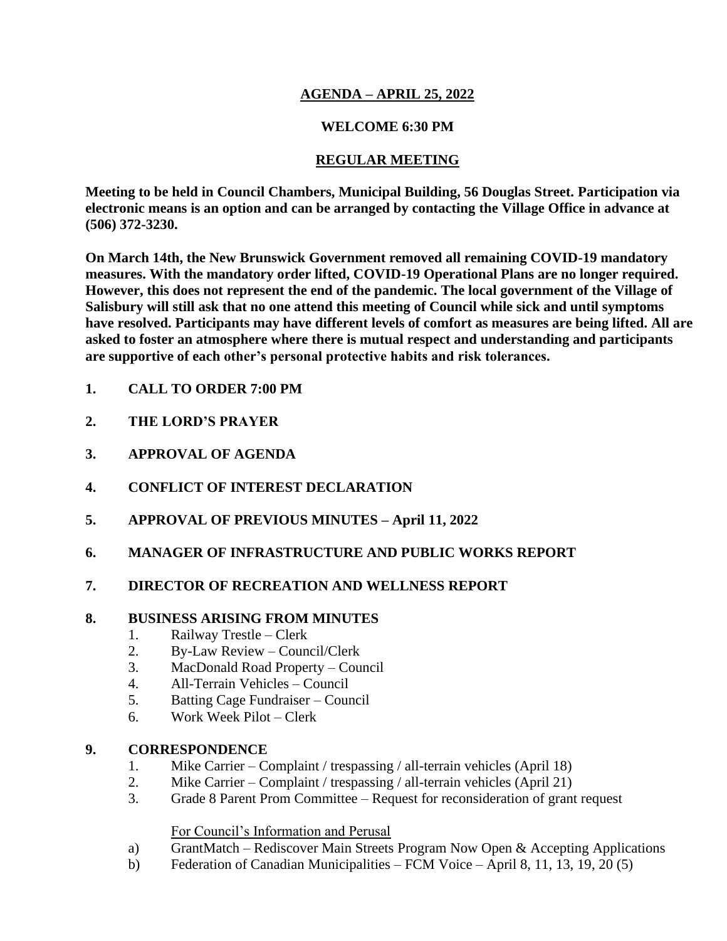# **AGENDA – APRIL 25, 2022**

# **WELCOME 6:30 PM**

# **REGULAR MEETING**

**Meeting to be held in Council Chambers, Municipal Building, 56 Douglas Street. Participation via electronic means is an option and can be arranged by contacting the Village Office in advance at (506) 372-3230.**

**On March 14th, the New Brunswick Government removed all remaining COVID-19 mandatory measures. With the mandatory order lifted, COVID-19 Operational Plans are no longer required. However, this does not represent the end of the pandemic. The local government of the Village of Salisbury will still ask that no one attend this meeting of Council while sick and until symptoms have resolved. Participants may have different levels of comfort as measures are being lifted. All are asked to foster an atmosphere where there is mutual respect and understanding and participants are supportive of each other's personal protective habits and risk tolerances.**

- **1. CALL TO ORDER 7:00 PM**
- **2. THE LORD'S PRAYER**
- **3. APPROVAL OF AGENDA**
- **4. CONFLICT OF INTEREST DECLARATION**
- **5. APPROVAL OF PREVIOUS MINUTES – April 11, 2022**
- **6. MANAGER OF INFRASTRUCTURE AND PUBLIC WORKS REPORT**
- **7. DIRECTOR OF RECREATION AND WELLNESS REPORT**

### **8. BUSINESS ARISING FROM MINUTES**

- 1. Railway Trestle Clerk
- 2. By-Law Review Council/Clerk
- 3. MacDonald Road Property Council
- 4. All-Terrain Vehicles Council
- 5. Batting Cage Fundraiser Council
- 6. Work Week Pilot Clerk

### **9. CORRESPONDENCE**

- 1. Mike Carrier Complaint / trespassing / all-terrain vehicles (April 18)
- 2. Mike Carrier Complaint / trespassing / all-terrain vehicles (April 21)
- 3. Grade 8 Parent Prom Committee Request for reconsideration of grant request

### For Council's Information and Perusal

- a) GrantMatch Rediscover Main Streets Program Now Open & Accepting Applications
- b) Federation of Canadian Municipalities FCM Voice April 8, 11, 13, 19, 20 (5)